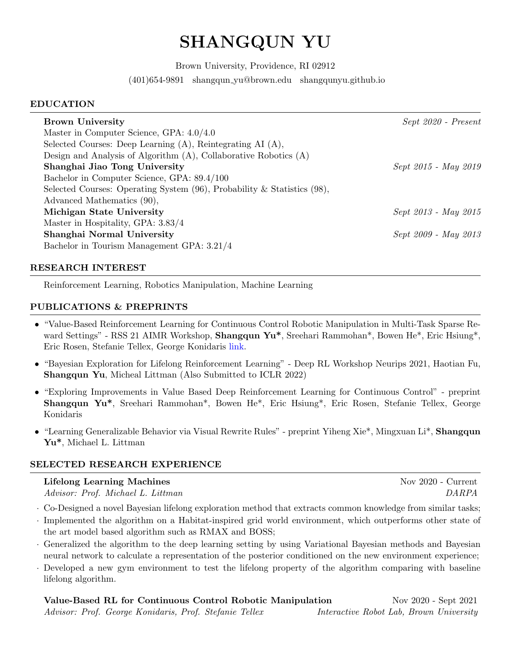# SHANGQUN YU

Brown University, Providence, RI 02912

(401)654-9891 shangqun yu@brown.edu shangqunyu.github.io

## EDUCATION

| <b>Brown University</b>                                                       | $Sept 2020 - Present$ |
|-------------------------------------------------------------------------------|-----------------------|
| Master in Computer Science, GPA: $4.0/4.0$                                    |                       |
| Selected Courses: Deep Learning $(A)$ , Reintegrating AI $(A)$ ,              |                       |
| Design and Analysis of Algorithm $(A)$ , Collaborative Robotics $(A)$         |                       |
| Shanghai Jiao Tong University                                                 | Sept 2015 - May 2019  |
| Bachelor in Computer Science, GPA: 89.4/100                                   |                       |
| Selected Courses: Operating System $(96)$ , Probability & Statistics $(98)$ , |                       |
| Advanced Mathematics (90),                                                    |                       |
| Michigan State University                                                     | Sept 2013 - May 2015  |
| Master in Hospitality, GPA: 3.83/4                                            |                       |
| Shanghai Normal University                                                    | Sept 2009 - May 2013  |
| Bachelor in Tourism Management GPA: 3.21/4                                    |                       |
|                                                                               |                       |

## RESEARCH INTEREST

Reinforcement Learning, Robotics Manipulation, Machine Learning

## PUBLICATIONS & PREPRINTS

- "Value-Based Reinforcement Learning for Continuous Control Robotic Manipulation in Multi-Task Sparse Reward Settings" - RSS 21 AIMR Workshop, **Shangqun Yu\***, Sreehari Rammohan\*, Bowen He<sup>\*</sup>, Eric Hsiung\*, Eric Rosen, Stefanie Tellex, George Konidaris [link.](https://arxiv.org/abs/2107.13356)
- "Bayesian Exploration for Lifelong Reinforcement Learning" Deep RL Workshop Neurips 2021, Haotian Fu, Shangqun Yu, Micheal Littman (Also Submitted to ICLR 2022)
- "Exploring Improvements in Value Based Deep Reinforcement Learning for Continuous Control" preprint Shangqun Yu\*, Sreehari Rammohan\*, Bowen He\*, Eric Hsiung\*, Eric Rosen, Stefanie Tellex, George Konidaris
- "Learning Generalizable Behavior via Visual Rewrite Rules" preprint Yiheng Xie\*, Mingxuan Li\*, Shangqun Yu\*, Michael L. Littman

## SELECTED RESEARCH EXPERIENCE

## Lifelong Learning Machines **Nov 2020** - Current

Advisor: Prof. Michael L. Littman DARPA

- · Co-Designed a novel Bayesian lifelong exploration method that extracts common knowledge from similar tasks;
- · Implemented the algorithm on a Habitat-inspired grid world environment, which outperforms other state of the art model based algorithm such as RMAX and BOSS;
- · Generalized the algorithm to the deep learning setting by using Variational Bayesian methods and Bayesian neural network to calculate a representation of the posterior conditioned on the new environment experience;
- · Developed a new gym environment to test the lifelong property of the algorithm comparing with baseline lifelong algorithm.

## Value-Based RL for Continuous Control Robotic Manipulation Nov 2020 - Sept 2021 Advisor: Prof. George Konidaris, Prof. Stefanie Tellex Interactive Robot Lab, Brown University